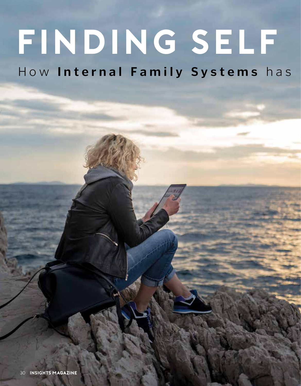# **Finding Self**

How Internal Family Systems has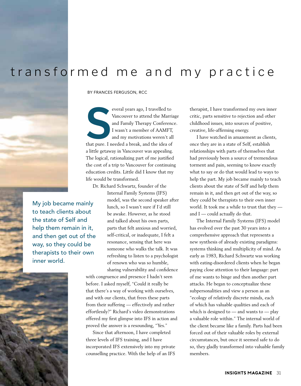# transformed me and my practice

By Frances Ferguson, RCC

everal years ago, I travelled to<br>
Vancouver to attend the Marria<br>
and Family Therapy Conference<br>
I wasn't a member of AAMFT,<br>
and my motivations weren't all<br>
that pure. I needed a break, and the idea of everal years ago, I travelled to Vancouver to attend the Marriage and Family Therapy Conference. I wasn't a member of AAMFT, and my motivations weren't all a little getaway in Vancouver was appealing. The logical, rationalizing part of me justified the cost of a trip to Vancouver for continuing education credits. Little did I know that my life would be transformed.

Dr. Richard Schwartz, founder of the

Internal Family Systems (IFS) model, was the second speaker after lunch, so I wasn't sure if I'd still be awake. However, as he stood and talked about his own parts, parts that felt anxious and worried, self-critical, or inadequate, I felt a resonance, sensing that here was someone who walks the talk. It was refreshing to listen to a psychologist of renown who was so humble, sharing vulnerability and confidence

with congruence and presence I hadn't seen before. I asked myself, "Could it really be that there's a way of working with ourselves, and with our clients, that frees these parts from their suffering — effectively and rather effortlessly?" Richard's video demonstrations offered my first glimpse into IFS in action and proved the answer is a resounding, "Yes."

Since that afternoon, I have completed three levels of IFS training, and I have incorporated IFS extensively into my private counselling practice. With the help of an IFS therapist, I have transformed my own inner critic, parts sensitive to rejection and other childhood issues, into sources of positive, creative, life-affirming energy.

I have watched in amazement as clients, once they are in a state of Self, establish relationships with parts of themselves that had previously been a source of tremendous torment and pain, seeming to know exactly what to say or do that would lead to ways to help the part. My job became mainly to teach clients about the state of Self and help them remain in it, and then get out of the way, so they could be therapists to their own inner world. It took me a while to trust that they and I — could actually do that.

The Internal Family Systems (IFS) model has evolved over the past 30 years into a comprehensive approach that represents a new synthesis of already existing paradigms: systems thinking and multiplicity of mind. As early as 1983, Richard Schwartz was working with eating-disordered clients when he began paying close attention to their language: part of me wants to binge and then another part attacks. He began to conceptualize these subpersonalities and view a person as an "ecology of relatively discrete minds, each of which has valuable qualities and each of which is designed to — and wants to — play a valuable role within." The internal world of the client became like a family. Parts had been forced out of their valuable roles by external circumstances, but once it seemed safe to do so, they gladly transformed into valuable family members.

My job became mainly to teach clients about the state of Self and help them remain in it, and then get out of the way, so they could be therapists to their own inner world.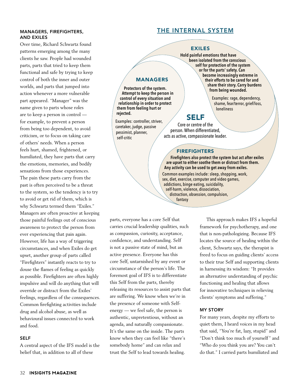#### Managers, Firefighters, and Exiles

Over time, Richard Schwartz found patterns emerging among the many clients he saw. People had wounded parts, parts that tried to keep them functional and safe by trying to keep control of both the inner and outer worlds, and parts that jumped into action whenever a more vulnerable part appeared. "Manager" was the name given to parts whose roles are to keep a person in control for example, to prevent a person from being too dependent, to avoid criticism, or to focus on taking care of others' needs. When a person feels hurt, shamed, frightened, or humiliated, they have parts that carry the emotions, memories, and bodily sensations from those experiences. The pain these parts carry from the past is often perceived to be a threat to the system, so the tendency is to try to avoid or get rid of them, which is why Schwartz termed them "Exiles." Managers are often proactive at keeping those painful feelings out of conscious awareness to protect the person from ever experiencing that pain again. However, life has a way of triggering circumstances, and when Exiles do get upset, another group of parts called "Firefighters" instantly reacts to try to douse the flames of feeling as quickly as possible. Firefighters are often highly impulsive and will do anything that will override or distract from the Exiles' feelings, regardless of the consequences. Common firefighting activities include drug and alcohol abuse, as well as behavioural issues connected to work and food.

## Self

A central aspect of the IFS model is the belief that, in addition to all of these

# The Internal System

### Exiles

 **Hold painful emotions that have been isolated from the conscious self for protection of the system or for the parts' safety. Can become increasingly extreme in their efforts to be cared for and share their story. Carry burdens from being wounded.**

> Examples: rage, dependency, shame, fear/terror, grief/loss, loneliness

# Self

Core or centre of the person. When differentiated, acts as active, compassionate leader.

#### **FIREFIGHTERS**

 **Firefighters also protect the system but act after exiles are upset to either soothe them or distract from them. Any activity can be used to get away from exiles.** 

Common examples include: sleep, shopping, work, sex, diet, exercise, computer and video games, addictions, binge eating, suicidality, self-harm, violence, dissociation, distraction, obsession, compulsion, fantasy

parts, everyone has a core Self that carries crucial leadership qualities, such as compassion, curiosity, acceptance, confidence, and understanding. Self is not a passive state of mind, but an active presence. Everyone has this core Self, untarnished by any event or circumstance of the person's life. The foremost goal of IFS is to differentiate this Self from the parts, thereby releasing its resources to assist parts that are suffering. We know when we're in the presence of someone with Selfenergy — we feel safe, the person is authentic, unpretentious, without an agenda, and naturally compassionate. It's the same on the inside. The parts know when they can feel like "there's somebody home" and can relax and trust the Self to lead towards healing.

**MANAGERS** 

**Protectors of the system. Attempt to keep the person in control of every situation and relationship in order to protect them from feeling hurt or** 

Examples: controller, striver, caretaker, judge, passive pessimist, planner, self-critic

**rejected.** 

This approach makes IFS a hopeful framework for psychotherapy, and one that is non-pathologizing. Because IFS locates the source of healing within the client, Schwartz says, the therapist is freed to focus on guiding clients' access to their true Self and supporting clients in harnessing its wisdom: "It provides an alternative understanding of psychic functioning and healing that allows for innovative techniques in relieving clients' symptoms and suffering."

#### My Story

For many years, despite my efforts to quiet them, I heard voices in my head that said, "You're fat, lazy, stupid" and "Don't think too much of yourself" and "Who do you think you are? You can't do that." I carried parts humiliated and